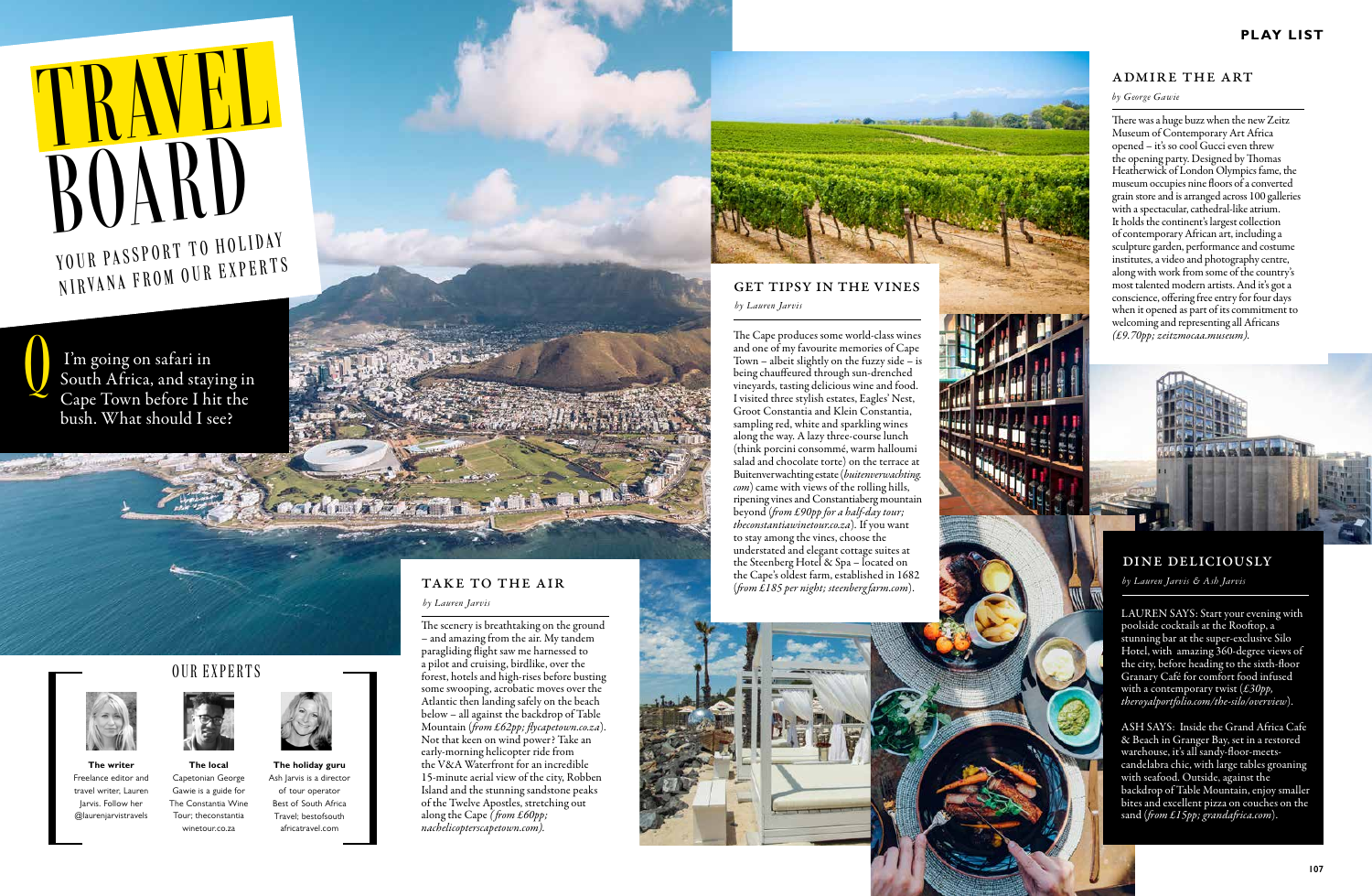# ROARD NIRVANA FROM OUR EXPERTS

 I'm going on safari in South Africa, and staying in Cape Town before I hit the bush. What should I see? Q



**The local** Capetonian George Gawie is a guide for The Constantia Wine Tour; theconstantia winetour.co.za



**The writer** Freelance editor and travel writer, Lauren Jarvis. Follow her @laurenjarvistravels



**The holiday guru** Ash Jarvis is a director of tour operator Best of South Africa Travel; bestofsouth africatravel.com

# TAKE TO THE AIR

# our experts

The scenery is breathtaking on the ground – and amazing from the air. My tandem paragliding flight saw me harnessed to a pilot and cruising, birdlike, over the forest, hotels and high-rises before busting some swooping, acrobatic moves over the Atlantic then landing safely on the beach below – all against the backdrop of Table Mountain (*from £62pp; flycapetown.co.za*). Not that keen on wind power? Take an early-morning helicopter ride from the V&A Waterfront for an incredible 15-minute aerial view of the city, Robben Island and the stunning sandstone peaks of the Twelve Apostles, stretching out along the Cape *( from £60pp; nachelicopterscapetown.com).*

#### *by Lauren Jarvis*

The allied by the contract

LAUREN SAYS: Start your evening with poolside cocktails at the Rooftop, a stunning bar at the super-exclusive Silo Hotel, with amazing 360-degree views of the city, before heading to the sixth-floor Granary Café for comfort food infused with a contemporary twist (*£30pp, theroyalportfolio.com/the-silo/overview*).

ASH SAYS: Inside the Grand Africa Cafe & Beach in Granger Bay, set in a restored warehouse, it's all sandy-floor-meetscandelabra chic, with large tables groaning with seafood. Outside, against the backdrop of Table Mountain, enjoy smaller bites and excellent pizza on couches on the sand (*from £15pp; grandafrica.com*).

## dine deliciously

*by Lauren Jarvis & Ash Jarvis*



(from £185 per night; steenbergfarm.com).



There was a huge buzz when the new Zeitz Museum of Contemporary Art Africa opened – it's so cool Gucci even threw the opening party. Designed by Thomas Heatherwick of London Olympics fame, the museum occupies nine floors of a converted grain store and is arranged across 100 galleries with a spectacular, cathedral-like atrium. It holds the continent's largest collection of contemporary African art, including a sculpture garden, performance and costume institutes, a video and photography centre, along with work from some of the country's most talented modern artists. And it's got a conscience, offering free entry for four days when it opened as part of its commitment to welcoming and representing all Africans *(£9.70pp; zeitzmocaa.museum).*



# admire the art

#### *by George Gawie*